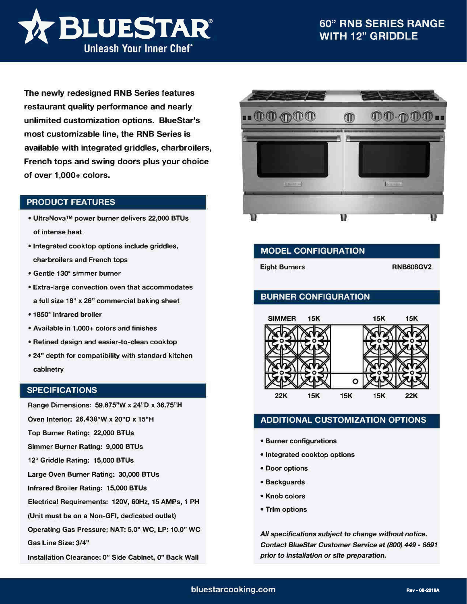

**The newly redesigned RNB Series features restaurant quality performance and nearly unlimited customization options. BlueStar's most customizable line, the RNB Series is available with integrated griddles, charbroilers, French tops and swing doors plus your choice of over 1,000+ colors.**

## **PRODUCT FEATURES**

- **• UltraNova™ power burner delivers 22,000 BTUs of intense heat**
- **• Integrated cooktop options include griddles, charbroilers and French tops**
- **• Gentle 130° simmer burner**
- **• Extra-large convection oven that accommodates a full size 18" x 26" commercial baking sheet**
- **• 1850° Infrared broiler**
- **• Available in 1,000+ colors and finishes**
- **• Refined design and easier-to-clean cooktop**
- **• 24" depth for compatibility with standard kitchen cabinetry**

## **SPECIFICATIONS**

**Range Dimensions: 59.875"W x 24''D x 36.75"H** 

**Oven Interior: 26.438"W x 20"D x 15"H** 

**Top Burner Rating: 22,000 BTUs** 

**Simmer Burner Rating: 9,000 BTUs** 

**12" Griddle Rating: 15,000 BTUs** 

**Large Oven Burner Rating: 30,000 BTUs** 

**Infrared Broiler Rating: 15,000 BTUs** 

**Electrical Requirements: 120V, 60Hz, 15 AMPs, 1 PH** 

**(Unit must be on a Non-GFI, dedicated outlet)** 

**Operating Gas Pressure: NAT: 5.0" WC, LP: 10.0" WC** 

**Gas Line Size: 3/4"** 

**Installation Clearance: 0" Side Cabinet, O" Back Wall** 



| <b>MODEL CONFIGURATION</b> |                  |
|----------------------------|------------------|
| <b>Eight Burners</b>       | <b>RNB608GV2</b> |

## **BURNER CONFIGURATION**



## **ADDITIONAL CUSTOMIZATION OPTIONS**

- **• Burner configurations**
- **• Integrated cooktop options**
- **• Door options**
- **• Backguards**
- **• Knob colors**
- **• Trim options**

*All specifications subject to change without notice. Contact BlueStar Customer Service at (800) 449* - *8691 prior* **to** *installation or site preparation.*